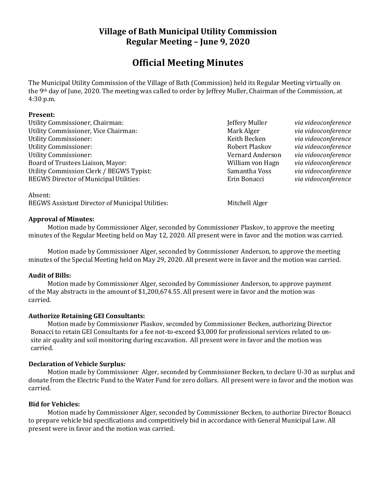# **Village of Bath Municipal Utility Commission Regular Meeting – June 9, 2020**

# **Official Meeting Minutes**

The Municipal Utility Commission of the Village of Bath (Commission) held its Regular Meeting virtually on the 9th day of June, 2020. The meeting was called to order by Jeffrey Muller, Chairman of the Commission, at 4:30 p.m.

#### **Present:**

Utility Commissioner, Chairman: Jeffery Muller *via videoconference* Utility Commissioner, Vice Chairman: Mark Alger *Mark Alger via videoconference* Utility Commissioner: Keith Becken *via videoconference* Utility Commissioner: Robert Plaskov *via videoconference* Utility Commissioner: Vernard Anderson *via videoconference* Board of Trustees Liaison, Mayor: William von Hagn *via videoconference* Utility Commission Clerk / BEGWS Typist: Samantha Voss *via videoconference* BEGWS Director of Municipal Utilities: Erin Bonacci *via videoconference*

Absent: BEGWS Assistant Director of Municipal Utilities: Mitchell Alger

## **Approval of Minutes:**

Motion made by Commissioner Alger, seconded by Commissioner Plaskov, to approve the meeting minutes of the Regular Meeting held on May 12, 2020. All present were in favor and the motion was carried.

Motion made by Commissioner Alger, seconded by Commissioner Anderson, to approve the meeting minutes of the Special Meeting held on May 29, 2020. All present were in favor and the motion was carried.

#### **Audit of Bills:**

Motion made by Commissioner Alger, seconded by Commissioner Anderson, to approve payment of the May abstracts in the amount of \$1,200,674.55. All present were in favor and the motion was carried.

## **Authorize Retaining GEI Consultants:**

Motion made by Commissioner Plaskov, seconded by Commissioner Becken, authorizing Director Bonacci to retain GEI Consultants for a fee not-to-exceed \$3,000 for professional services related to onsite air quality and soil monitoring during excavation. All present were in favor and the motion was carried.

## **Declaration of Vehicle Surplus:**

Motion made by Commissioner Alger, seconded by Commissioner Becken, to declare U-30 as surplus and donate from the Electric Fund to the Water Fund for zero dollars. All present were in favor and the motion was carried.

#### **Bid for Vehicles:**

Motion made by Commissioner Alger, seconded by Commissioner Becken, to authorize Director Bonacci to prepare vehicle bid specifications and competitively bid in accordance with General Municipal Law. All present were in favor and the motion was carried.